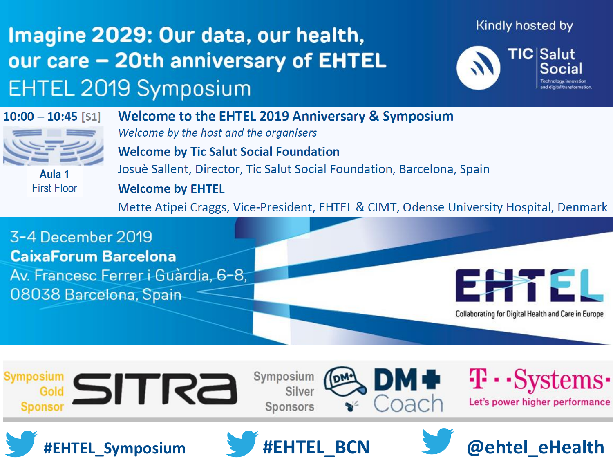### Imagine 2029: Our data, our health, our care - 20th anniversary of EHTEL **EHTEL 2019 Symposium**

Kindly hosted by



 $10:00 - 10:45$  [S1]



Aula 1 **First Floor** 

**Welcome to the EHTEL 2019 Anniversary & Symposium** Welcome by the host and the organisers **Welcome by Tic Salut Social Foundation** Josuè Sallent, Director, Tic Salut Social Foundation, Barcelona, Spain **Welcome by EHTEL** 

Mette Atipei Craggs, Vice-President, EHTEL & CIMT, Odense University Hospital, Denmark





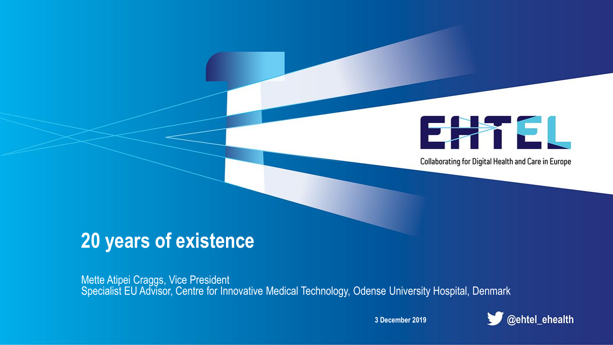

Collaborating for Digital Health and Care in Europe

## **20 years of existence**

Mette Atipei Craggs, Vice President Specialist EU Advisor, Centre for Innovative Medical Technology, Odense University Hospital, Denmark

**3 December 2019**

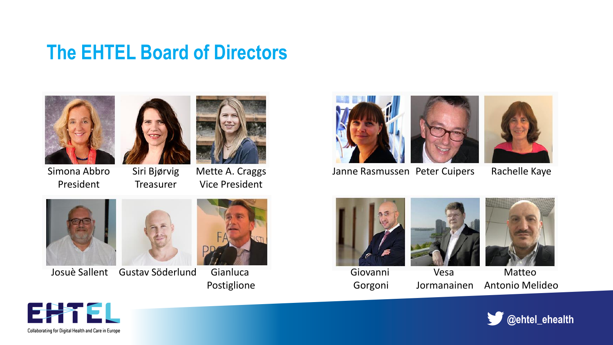### **The EHTEL Board of Directors**







Simona Abbro President

Siri Bjørvig **Treasurer** 

Mette A. Craggs Vice President



Josuè Sallent Gustav Söderlund Gianluca



Postiglione



Janne Rasmussen Peter Cuipers Rachelle Kaye







Giovanni Gorgoni

Vesa Jormanainen

Matteo Antonio Melideo



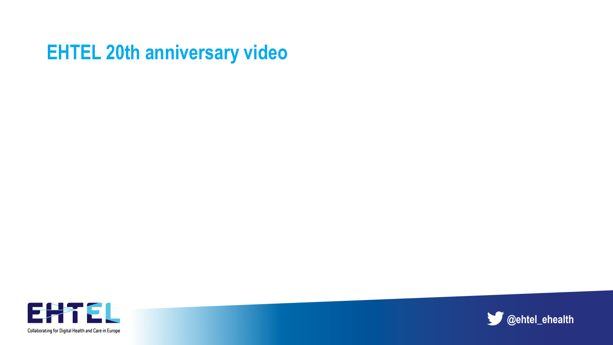### **EHTEL 20th anniversary video**



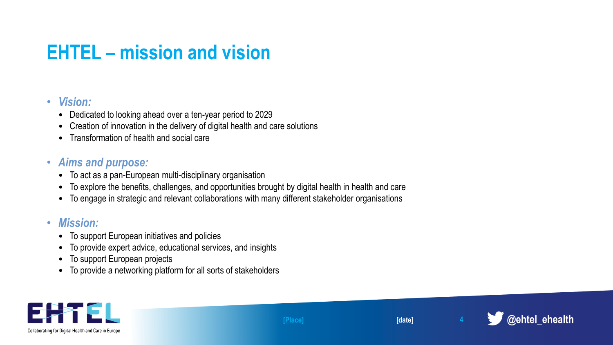## **EHTEL – mission and vision**

#### • *Vision:*

- Dedicated to looking ahead over a ten-year period to 2029
- Creation of innovation in the delivery of digital health and care solutions
- Transformation of health and social care

#### • *Aims and purpose:*

- To act as a pan-European multi-disciplinary organisation
- To explore the benefits, challenges, and opportunities brought by digital health in health and care
- To engage in strategic and relevant collaborations with many different stakeholder organisations

#### • *Mission:*

- To support European initiatives and policies
- To provide expert advice, educational services, and insights
- To support European projects
- To provide a networking platform for all sorts of stakeholders





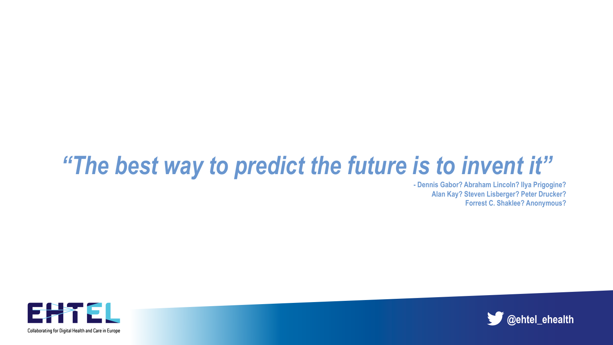# *"The best way to predict the future is to invent it"*

**- Dennis Gabor? Abraham Lincoln? Ilya Prigogine? Alan Kay? Steven Lisberger? Peter Drucker? Forrest C. Shaklee? Anonymous?**